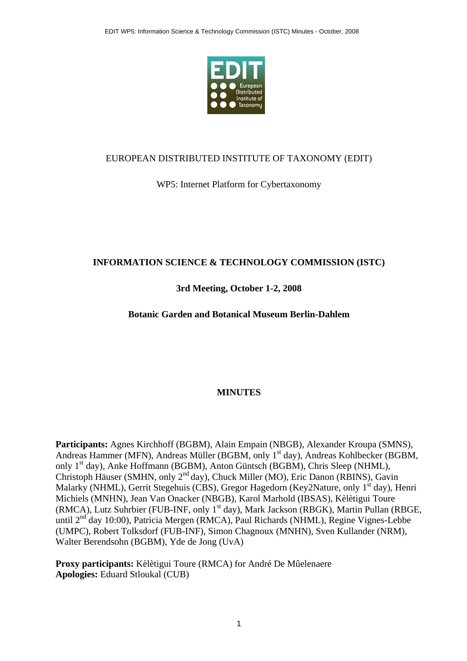

#### EUROPEAN DISTRIBUTED INSTITUTE OF TAXONOMY (EDIT)

#### WP5: Internet Platform for Cybertaxonomy

#### **INFORMATION SCIENCE & TECHNOLOGY COMMISSION (ISTC)**

#### **3rd Meeting, October 1-2, 2008**

#### **Botanic Garden and Botanical Museum Berlin-Dahlem**

#### **MINUTES**

**Participants:** Agnes Kirchhoff (BGBM), Alain Empain (NBGB), Alexander Kroupa (SMNS), Andreas Hammer (MFN), Andreas Müller (BGBM, only 1<sup>st</sup> day), Andreas Kohlbecker (BGBM, only 1st day), Anke Hoffmann (BGBM), Anton Güntsch (BGBM), Chris Sleep (NHML), Christoph Häuser (SMHN, only 2nd day), Chuck Miller (MO), Eric Danon (RBINS), Gavin Malarky (NHML), Gerrit Stegehuis (CBS), Gregor Hagedorn (Key2Nature, only 1<sup>st</sup> day), Henri Michiels (MNHN), Jean Van Onacker (NBGB), Karol Marhold (IBSAS), Kèlètigui Toure (RMCA), Lutz Suhrbier (FUB-INF, only 1<sup>st</sup> day), Mark Jackson (RBGK), Martin Pullan (RBGE, until 2<sup>nd</sup> day 10:00), Patricia Mergen (RMCA), Paul Richards (NHML), Regine Vignes-Lebbe (UMPC), Robert Tolksdorf (FUB-INF), Simon Chagnoux (MNHN), Sven Kullander (NRM), Walter Berendsohn (BGBM), Yde de Jong (UvA)

**Proxy participants:** Kèlètigui Toure (RMCA) for André De Mûelenaere **Apologies:** Eduard Stloukal (CUB)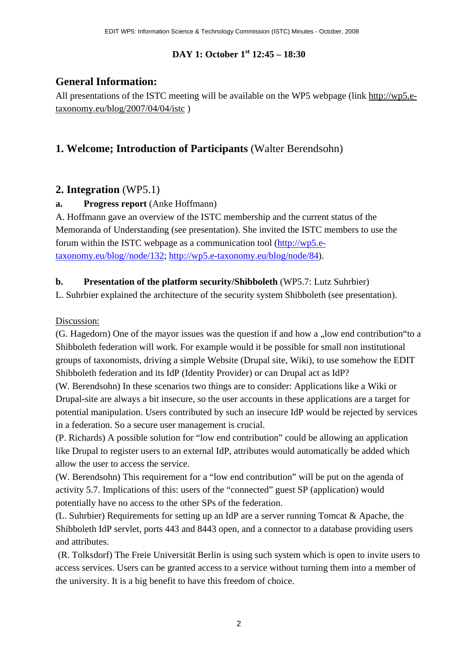## **DAY 1: October 1st 12:45 – 18:30**

# **General Information:**

All presentations of the ISTC meeting will be available on the WP5 webpage (link [http://wp5.e](http://wp5.e-taxonomy.eu/blog/2007/04/04/istc)[taxonomy.eu/blog/2007/04/04/istc](http://wp5.e-taxonomy.eu/blog/2007/04/04/istc) )

# **1. Welcome; Introduction of Participants** (Walter Berendsohn)

# **2. Integration** (WP5.1)

## **a. Progress report** (Anke Hoffmann)

A. Hoffmann gave an overview of the ISTC membership and the current status of the Memoranda of Understanding (see presentation). She invited the ISTC members to use the forum within the ISTC webpage as a communication tool ([http://wp5.e](http://wp5.e-taxonomy.eu/blog//node/132)[taxonomy.eu/blog//node/132](http://wp5.e-taxonomy.eu/blog//node/132); <http://wp5.e-taxonomy.eu/blog/node/84>).

## **b. Presentation of the platform security/Shibboleth** (WP5.7: Lutz Suhrbier)

L. Suhrbier explained the architecture of the security system Shibboleth (see presentation).

## Discussion:

 $(G. Hagedorn)$  One of the mayor issues was the question if and how a "low end contribution"to a Shibboleth federation will work. For example would it be possible for small non institutional groups of taxonomists, driving a simple Website (Drupal site, Wiki), to use somehow the EDIT Shibboleth federation and its IdP (Identity Provider) or can Drupal act as IdP?

(W. Berendsohn) In these scenarios two things are to consider: Applications like a Wiki or Drupal-site are always a bit insecure, so the user accounts in these applications are a target for potential manipulation. Users contributed by such an insecure IdP would be rejected by services in a federation. So a secure user management is crucial.

(P. Richards) A possible solution for "low end contribution" could be allowing an application like Drupal to register users to an external IdP, attributes would automatically be added which allow the user to access the service.

(W. Berendsohn) This requirement for a "low end contribution" will be put on the agenda of activity 5.7. Implications of this: users of the "connected" guest SP (application) would potentially have no access to the other SPs of the federation.

(L. Suhrbier) Requirements for setting up an IdP are a server running Tomcat & Apache, the Shibboleth IdP servlet, ports 443 and 8443 open, and a connector to a database providing users and attributes.

 (R. Tolksdorf) The Freie Universität Berlin is using such system which is open to invite users to access services. Users can be granted access to a service without turning them into a member of the university. It is a big benefit to have this freedom of choice.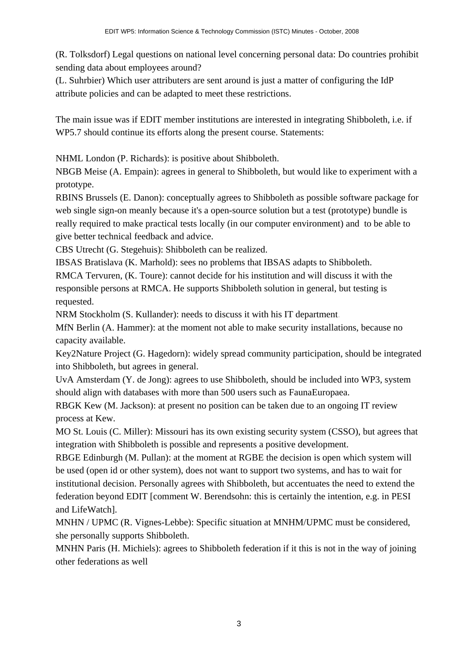(R. Tolksdorf) Legal questions on national level concerning personal data: Do countries prohibit sending data about employees around?

(L. Suhrbier) Which user attributers are sent around is just a matter of configuring the IdP attribute policies and can be adapted to meet these restrictions.

The main issue was if EDIT member institutions are interested in integrating Shibboleth, i.e. if WP5.7 should continue its efforts along the present course. Statements:

NHML London (P. Richards): is positive about Shibboleth.

NBGB Meise (A. Empain): agrees in general to Shibboleth, but would like to experiment with a prototype.

RBINS Brussels (E. Danon): conceptually agrees to Shibboleth as possible software package for web single sign-on meanly because it's a open-source solution but a test (prototype) bundle is really required to make practical tests locally (in our computer environment) and to be able to give better technical feedback and advice.

CBS Utrecht (G. Stegehuis): Shibboleth can be realized.

IBSAS Bratislava (K. Marhold): sees no problems that IBSAS adapts to Shibboleth.

RMCA Tervuren, (K. Toure): cannot decide for his institution and will discuss it with the responsible persons at RMCA. He supports Shibboleth solution in general, but testing is requested.

NRM Stockholm (S. Kullander): needs to discuss it with his IT department.

MfN Berlin (A. Hammer): at the moment not able to make security installations, because no capacity available.

Key2Nature Project (G. Hagedorn): widely spread community participation, should be integrated into Shibboleth, but agrees in general.

UvA Amsterdam (Y. de Jong): agrees to use Shibboleth, should be included into WP3, system should align with databases with more than 500 users such as FaunaEuropaea.

RBGK Kew (M. Jackson): at present no position can be taken due to an ongoing IT review process at Kew.

MO St. Louis (C. Miller): Missouri has its own existing security system (CSSO), but agrees that integration with Shibboleth is possible and represents a positive development.

RBGE Edinburgh (M. Pullan): at the moment at RGBE the decision is open which system will be used (open id or other system), does not want to support two systems, and has to wait for institutional decision. Personally agrees with Shibboleth, but accentuates the need to extend the federation beyond EDIT [comment W. Berendsohn: this is certainly the intention, e.g. in PESI and LifeWatch].

MNHN / UPMC (R. Vignes-Lebbe): Specific situation at MNHM/UPMC must be considered, she personally supports Shibboleth.

MNHN Paris (H. Michiels): agrees to Shibboleth federation if it this is not in the way of joining other federations as well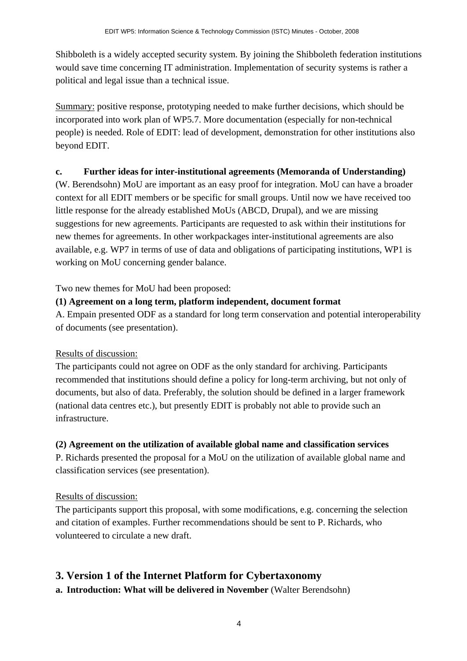Shibboleth is a widely accepted security system. By joining the Shibboleth federation institutions would save time concerning IT administration. Implementation of security systems is rather a political and legal issue than a technical issue.

Summary: positive response, prototyping needed to make further decisions, which should be incorporated into work plan of WP5.7. More documentation (especially for non-technical people) is needed. Role of EDIT: lead of development, demonstration for other institutions also beyond EDIT.

## **c. Further ideas for inter-institutional agreements (Memoranda of Understanding)**

(W. Berendsohn) MoU are important as an easy proof for integration. MoU can have a broader context for all EDIT members or be specific for small groups. Until now we have received too little response for the already established MoUs (ABCD, Drupal), and we are missing suggestions for new agreements. Participants are requested to ask within their institutions for new themes for agreements. In other workpackages inter-institutional agreements are also available, e.g. WP7 in terms of use of data and obligations of participating institutions, WP1 is working on MoU concerning gender balance.

Two new themes for MoU had been proposed:

#### **(1) Agreement on a long term, platform independent, document format**

A. Empain presented ODF as a standard for long term conservation and potential interoperability of documents (see presentation).

#### Results of discussion:

The participants could not agree on ODF as the only standard for archiving. Participants recommended that institutions should define a policy for long-term archiving, but not only of documents, but also of data. Preferably, the solution should be defined in a larger framework (national data centres etc.), but presently EDIT is probably not able to provide such an infrastructure.

#### **(2) Agreement on the utilization of available global name and classification services**

P. Richards presented the proposal for a MoU on the utilization of available global name and classification services (see presentation).

#### Results of discussion:

The participants support this proposal, with some modifications, e.g. concerning the selection and citation of examples. Further recommendations should be sent to P. Richards, who volunteered to circulate a new draft.

# **3. Version 1 of the Internet Platform for Cybertaxonomy**

**a. Introduction: What will be delivered in November** (Walter Berendsohn)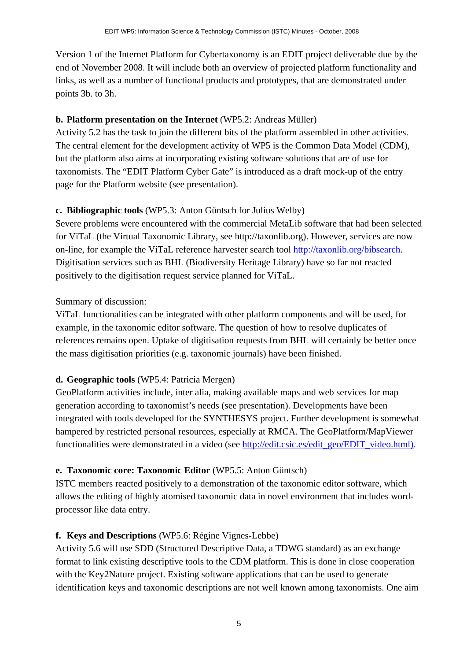Version 1 of the Internet Platform for Cybertaxonomy is an EDIT project deliverable due by the end of November 2008. It will include both an overview of projected platform functionality and links, as well as a number of functional products and prototypes, that are demonstrated under points 3b. to 3h.

#### **b. Platform presentation on the Internet** (WP5.2: Andreas Müller)

Activity 5.2 has the task to join the different bits of the platform assembled in other activities. The central element for the development activity of WP5 is the Common Data Model (CDM), but the platform also aims at incorporating existing software solutions that are of use for taxonomists. The "EDIT Platform Cyber Gate" is introduced as a draft mock-up of the entry page for the Platform website (see presentation).

#### **c. Bibliographic tools** (WP5.3: Anton Güntsch for Julius Welby)

Severe problems were encountered with the commercial MetaLib software that had been selected for ViTaL (the Virtual Taxonomic Library, see http://taxonlib.org). However, services are now on-line, for example the ViTaL reference harvester search tool [http://taxonlib.org/bibsearch.](http://taxonlib.org/bibsearch) Digitisation services such as BHL (Biodiversity Heritage Library) have so far not reacted positively to the digitisation request service planned for ViTaL.

#### Summary of discussion:

ViTaL functionalities can be integrated with other platform components and will be used, for example, in the taxonomic editor software. The question of how to resolve duplicates of references remains open. Uptake of digitisation requests from BHL will certainly be better once the mass digitisation priorities (e.g. taxonomic journals) have been finished.

#### **d. Geographic tools** (WP5.4: Patricia Mergen)

GeoPlatform activities include, inter alia, making available maps and web services for map generation according to taxonomist's needs (see presentation). Developments have been integrated with tools developed for the SYNTHESYS project. Further development is somewhat hampered by restricted personal resources, especially at RMCA. The GeoPlatform/MapViewer functionalities were demonstrated in a video (see [http://edit.csic.es/edit\\_geo/EDIT\\_video.html](http://edit.csic.es/edit_geo/EDIT_video.html)).

#### **e. Taxonomic core: Taxonomic Editor** (WP5.5: Anton Güntsch)

ISTC members reacted positively to a demonstration of the taxonomic editor software, which allows the editing of highly atomised taxonomic data in novel environment that includes wordprocessor like data entry.

#### **f. Keys and Descriptions** (WP5.6: Régine Vignes-Lebbe)

Activity 5.6 will use SDD (Structured Descriptive Data, a TDWG standard) as an exchange format to link existing descriptive tools to the CDM platform. This is done in close cooperation with the Key2Nature project. Existing software applications that can be used to generate identification keys and taxonomic descriptions are not well known among taxonomists. One aim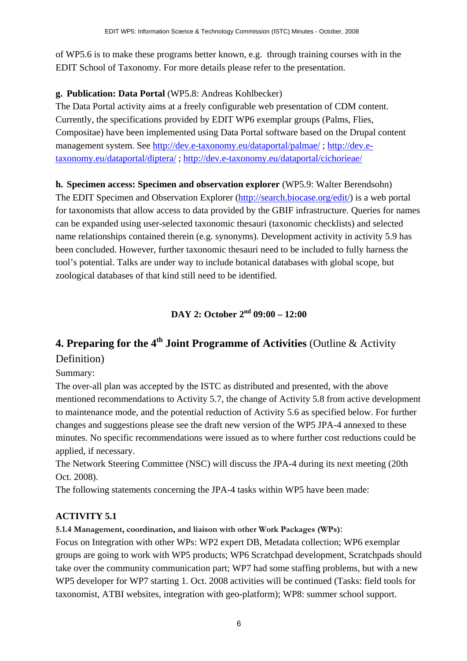of WP5.6 is to make these programs better known, e.g. through training courses with in the EDIT School of Taxonomy. For more details please refer to the presentation.

#### **g. Publication: Data Portal** (WP5.8: Andreas Kohlbecker)

The Data Portal activity aims at a freely configurable web presentation of CDM content. Currently, the specifications provided by EDIT WP6 exemplar groups (Palms, Flies, Compositae) have been implemented using Data Portal software based on the Drupal content management system. See <http://dev.e-taxonomy.eu/dataportal/palmae/> ; [http://dev.e](http://dev.e-taxonomy.eu/dataportal/diptera/)[taxonomy.eu/dataportal/diptera/](http://dev.e-taxonomy.eu/dataportal/diptera/) ; <http://dev.e-taxonomy.eu/dataportal/cichorieae/>

#### **h. Specimen access: Specimen and observation explorer** (WP5.9: Walter Berendsohn)

The EDIT Specimen and Observation Explorer [\(http://search.biocase.org/edit/](http://search.biocase.org/edit/)) is a web portal for taxonomists that allow access to data provided by the GBIF infrastructure. Queries for names can be expanded using user-selected taxonomic thesauri (taxonomic checklists) and selected name relationships contained therein (e.g. synonyms). Development activity in activity 5.9 has been concluded. However, further taxonomic thesauri need to be included to fully harness the tool's potential. Talks are under way to include botanical databases with global scope, but zoological databases of that kind still need to be identified.

#### **DAY 2: October 2nd 09:00 – 12:00**

# **4. Preparing for the 4th Joint Programme of Activities** (Outline & Activity Definition)

## Summary:

The over-all plan was accepted by the ISTC as distributed and presented, with the above mentioned recommendations to Activity 5.7, the change of Activity 5.8 from active development to maintenance mode, and the potential reduction of Activity 5.6 as specified below. For further changes and suggestions please see the draft new version of the WP5 JPA-4 annexed to these minutes. No specific recommendations were issued as to where further cost reductions could be applied, if necessary.

The Network Steering Committee (NSC) will discuss the JPA-4 during its next meeting (20th Oct. 2008).

The following statements concerning the JPA-4 tasks within WP5 have been made:

#### **ACTIVITY 5.1**

#### **5.1.4 Management, coordination, and liaison with other Work Packages (WPs)**:

Focus on Integration with other WPs: WP2 expert DB, Metadata collection; WP6 exemplar groups are going to work with WP5 products; WP6 Scratchpad development, Scratchpads should take over the community communication part; WP7 had some staffing problems, but with a new WP5 developer for WP7 starting 1. Oct. 2008 activities will be continued (Tasks: field tools for taxonomist, ATBI websites, integration with geo-platform); WP8: summer school support.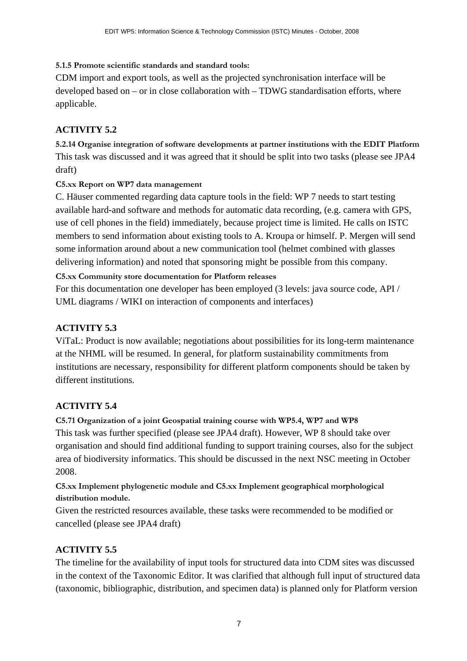#### **5.1.5 Promote scientific standards and standard tools:**

CDM import and export tools, as well as the projected synchronisation interface will be developed based on – or in close collaboration with – TDWG standardisation efforts, where applicable.

#### **ACTIVITY 5.2**

**5.2.14 Organise integration of software developments at partner institutions with the EDIT Platform**  This task was discussed and it was agreed that it should be split into two tasks (please see JPA4 draft)

#### **C5.xx Report on WP7 data management**

C. Häuser commented regarding data capture tools in the field: WP 7 needs to start testing available hard-and software and methods for automatic data recording, (e.g. camera with GPS, use of cell phones in the field) immediately, because project time is limited. He calls on ISTC members to send information about existing tools to A. Kroupa or himself. P. Mergen will send some information around about a new communication tool (helmet combined with glasses delivering information) and noted that sponsoring might be possible from this company.

#### **C5.xx Community store documentation for Platform releases**

For this documentation one developer has been employed (3 levels: java source code, API / UML diagrams / WIKI on interaction of components and interfaces)

## **ACTIVITY 5.3**

ViTaL: Product is now available; negotiations about possibilities for its long-term maintenance at the NHML will be resumed. In general, for platform sustainability commitments from institutions are necessary, responsibility for different platform components should be taken by different institutions.

#### **ACTIVITY 5.4**

**C5.71 Organization of a joint Geospatial training course with WP5.4, WP7 and WP8**  This task was further specified (please see JPA4 draft). However, WP 8 should take over organisation and should find additional funding to support training courses, also for the subject area of biodiversity informatics. This should be discussed in the next NSC meeting in October 2008.

**C5.xx Implement phylogenetic module and C5.xx Implement geographical morphological distribution module.** 

Given the restricted resources available, these tasks were recommended to be modified or cancelled (please see JPA4 draft)

#### **ACTIVITY 5.5**

The timeline for the availability of input tools for structured data into CDM sites was discussed in the context of the Taxonomic Editor. It was clarified that although full input of structured data (taxonomic, bibliographic, distribution, and specimen data) is planned only for Platform version